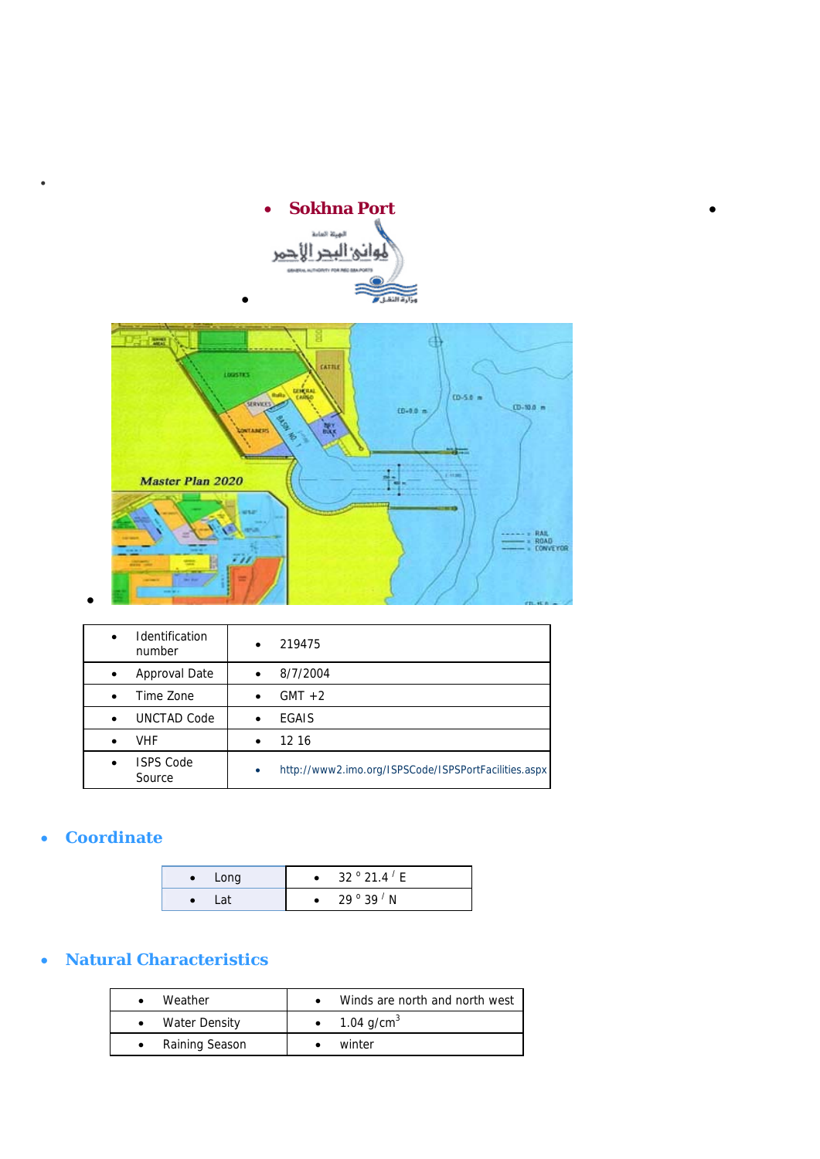

•

•



| <b>Identification</b><br>$\bullet$<br>number | 219475                                                            |
|----------------------------------------------|-------------------------------------------------------------------|
| Approval Date<br>$\bullet$                   | 8/7/2004                                                          |
| Time Zone                                    | $GMT + 2$<br>$\bullet$                                            |
| UNCTAD Code                                  | EGAIS<br>$\bullet$                                                |
| <b>VHF</b>                                   | 12 16<br>$\bullet$                                                |
| <b>ISPS Code</b><br>Source                   | http://www2.imo.org/ISPSCode/ISPSPortFacilities.aspx<br>$\bullet$ |

# • **Coordinate**

•

| Long | 32 $^{\circ}$ 21.4 $^{\prime}$ E |
|------|----------------------------------|
| _at  | 29 $^{\circ}$ 39 $^{\prime}$ N   |

# • **Natural Characteristics**

| Weather        | Winds are north and north west |
|----------------|--------------------------------|
| Water Density  | 1.04 g/cm <sup>3</sup>         |
| Raining Season | winter                         |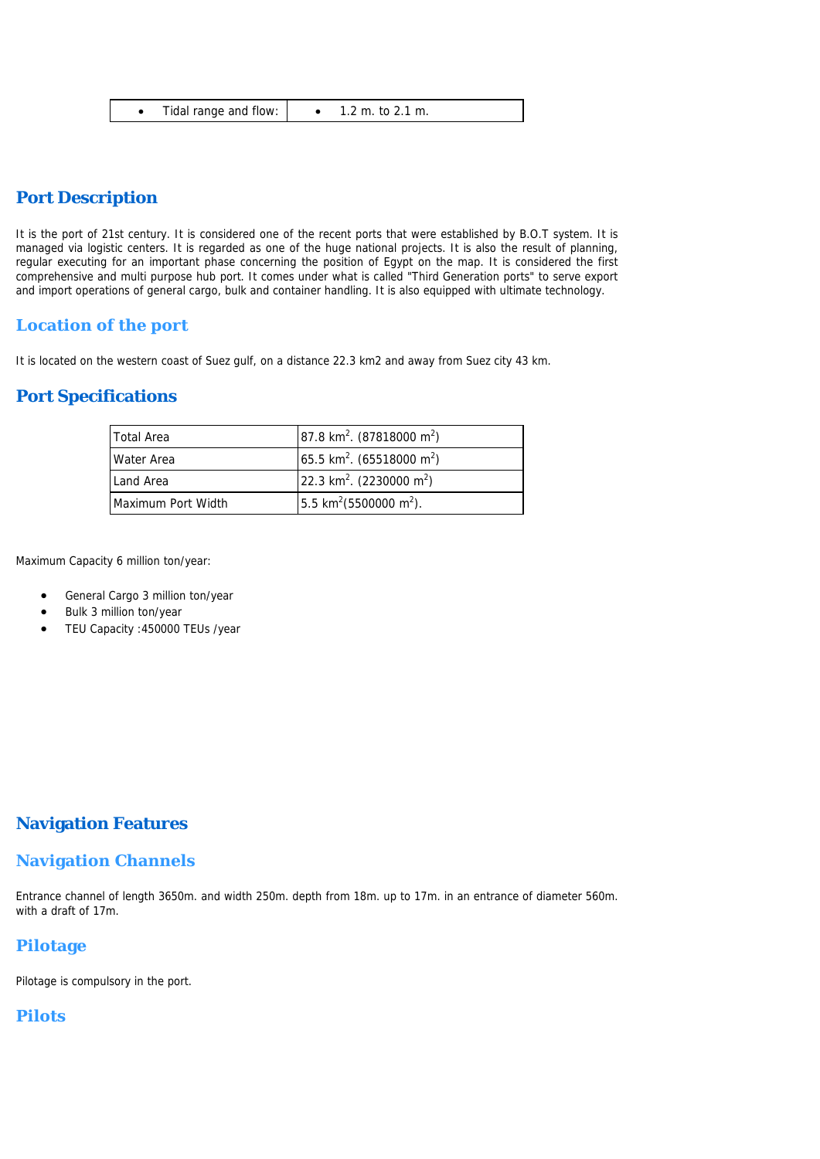|  | Tidal range and flow: | 1.2 m. to 2.1 m. |
|--|-----------------------|------------------|
|--|-----------------------|------------------|

## **Port Description**

It is the port of 21st century. It is considered one of the recent ports that were established by B.O.T system. It is managed via logistic centers. It is regarded as one of the huge national projects. It is also the result of planning, regular executing for an important phase concerning the position of Egypt on the map. It is considered the first comprehensive and multi purpose hub port. It comes under what is called "Third Generation ports" to serve export and import operations of general cargo, bulk and container handling. It is also equipped with ultimate technology.

#### **Location of the port**

It is located on the western coast of Suez gulf, on a distance 22.3 km2 and away from Suez city 43 km.

## **Port Specifications**

| Total Area         | 87.8 km <sup>2</sup> . (87818000 m <sup>2</sup> ) |
|--------------------|---------------------------------------------------|
| Water Area         | 65.5 km <sup>2</sup> . (65518000 m <sup>2</sup> ) |
| Land Area          | 22.3 km <sup>2</sup> . (2230000 m <sup>2</sup> )  |
| Maximum Port Width | 5.5 km <sup>2</sup> (5500000 m <sup>2</sup> ).    |

Maximum Capacity 6 million ton/year:

- General Cargo 3 million ton/year
- Bulk 3 million ton/year
- TEU Capacity :450000 TEUs /year

## **Navigation Features**

#### **Navigation Channels**

Entrance channel of length 3650m. and width 250m. depth from 18m. up to 17m. in an entrance of diameter 560m. with a draft of 17m.

#### **Pilotage**

Pilotage is compulsory in the port.

#### **Pilots**